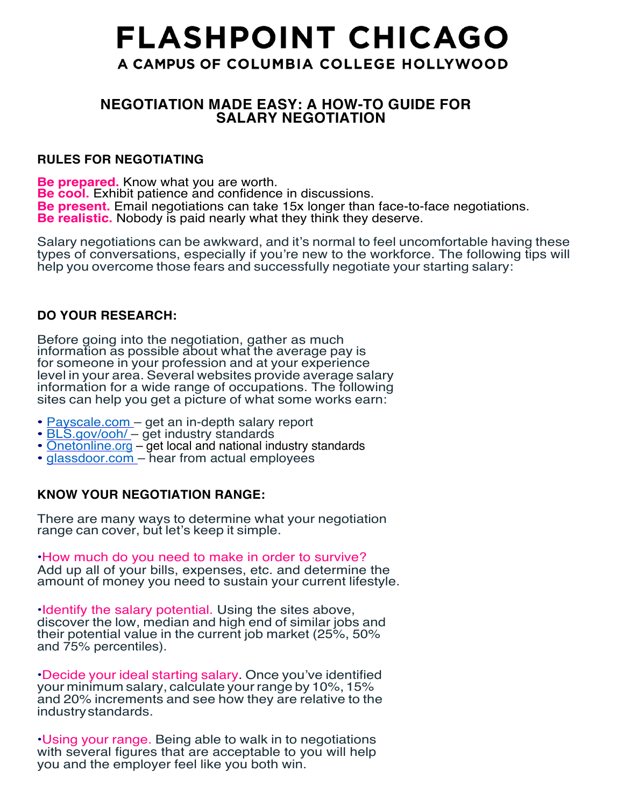# **FLASHPOINT CHICAGO** A CAMPUS OF COLUMBIA COLLEGE HOLLYWOOD

# **NEGOTIATION MADE EASY: A HOW-TO GUIDE FOR SALARY NEGOTIATION**

# **RULES FOR NEGOTIATING**

**Be prepared.** Know what you are worth. **Be cool.** Exhibit patience and confidence in discussions. **Be present.** Email negotiations can take 15x longer than face-to-face negotiations. **Be realistic.** Nobody is paid nearly what they think they deserve.

Salary negotiations can be awkward, and it's normal to feel uncomfortable having these types of conversations, especially if you're new to the workforce. The following tips will help you overcome those fears and successfully negotiate your starting salary:

# **DO YOUR RESEARCH:**

Before going into the negotiation, gather as much information as possible about what the average pay is for someone in your profession and at your experience level in your area. Several websites provide average salary information for a wide range of occupations. The following sites can help you get a picture of what some works earn:

- 
- 
- <u>Payscale.com</u> get an in-depth salary report<br>• <u>BLS.gov/ooh/</u> get industry standards<br>• <u>Onetonline.org</u> get local and national industry standards
- glassdoor.com hear from actual employees

# **KNOW YOUR NEGOTIATION RANGE:**

There are many ways to determine what your negotiation range can cover, but let's keep it simple.

•How much do you need to make in order to survive? Add up all of your bills, expenses, etc. and determine the amount of money you need to sustain your current lifestyle.

•Identify the salary potential. Using the sites above, discover the low, median and high end of similar jobs and their potential value in the current job market (25%, 50% and 75% percentiles).

•Decide your ideal starting salary. Once you've identified your minimum salary, calculate yourrange by 10%, 15% and 20% increments and see how they are relative to the industrystandards.

•Using your range. Being able to walk in to negotiations with several figures that are acceptable to you will help you and the employer feel like you both win.